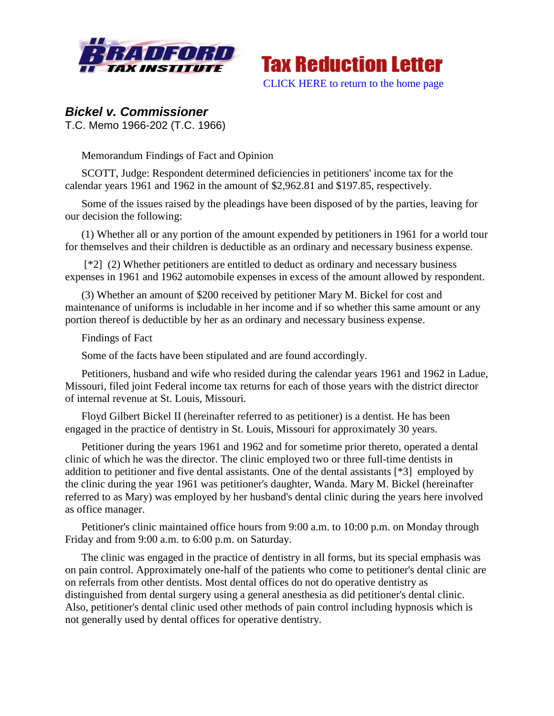



# *Bickel v. Commissioner*

T.C. Memo 1966-202 (T.C. 1966)

Memorandum Findings of Fact and Opinion

SCOTT, Judge: Respondent determined deficiencies in petitioners' income tax for the calendar years 1961 and 1962 in the amount of \$2,962.81 and \$197.85, respectively.

Some of the issues raised by the pleadings have been disposed of by the parties, leaving for our decision the following:

(1) Whether all or any portion of the amount expended by petitioners in 1961 for a world tour for themselves and their children is deductible as an ordinary and necessary business expense.

[\*2] (2) Whether petitioners are entitled to deduct as ordinary and necessary business expenses in 1961 and 1962 automobile expenses in excess of the amount allowed by respondent.

(3) Whether an amount of \$200 received by petitioner Mary M. Bickel for cost and maintenance of uniforms is includable in her income and if so whether this same amount or any portion thereof is deductible by her as an ordinary and necessary business expense.

# Findings of Fact

Some of the facts have been stipulated and are found accordingly.

Petitioners, husband and wife who resided during the calendar years 1961 and 1962 in Ladue, Missouri, filed joint Federal income tax returns for each of those years with the district director of internal revenue at St. Louis, Missouri.

Floyd Gilbert Bickel II (hereinafter referred to as petitioner) is a dentist. He has been engaged in the practice of dentistry in St. Louis, Missouri for approximately 30 years.

Petitioner during the years 1961 and 1962 and for sometime prior thereto, operated a dental clinic of which he was the director. The clinic employed two or three full-time dentists in addition to petitioner and five dental assistants. One of the dental assistants [\*3] employed by the clinic during the year 1961 was petitioner's daughter, Wanda. Mary M. Bickel (hereinafter referred to as Mary) was employed by her husband's dental clinic during the years here involved as office manager.

Petitioner's clinic maintained office hours from 9:00 a.m. to 10:00 p.m. on Monday through Friday and from 9:00 a.m. to 6:00 p.m. on Saturday.

The clinic was engaged in the practice of dentistry in all forms, but its special emphasis was on pain control. Approximately one-half of the patients who come to petitioner's dental clinic are on referrals from other dentists. Most dental offices do not do operative dentistry as distinguished from dental surgery using a general anesthesia as did petitioner's dental clinic. Also, petitioner's dental clinic used other methods of pain control including hypnosis which is not generally used by dental offices for operative dentistry.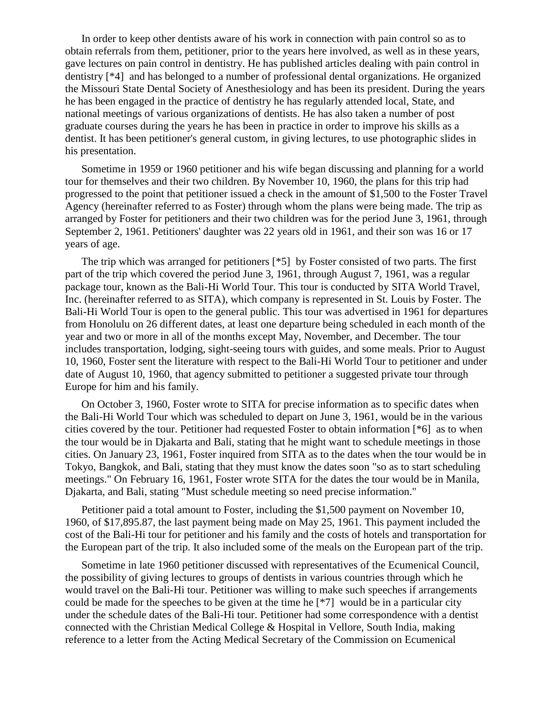In order to keep other dentists aware of his work in connection with pain control so as to obtain referrals from them, petitioner, prior to the years here involved, as well as in these years, gave lectures on pain control in dentistry. He has published articles dealing with pain control in dentistry [\*4] and has belonged to a number of professional dental organizations. He organized the Missouri State Dental Society of Anesthesiology and has been its president. During the years he has been engaged in the practice of dentistry he has regularly attended local, State, and national meetings of various organizations of dentists. He has also taken a number of post graduate courses during the years he has been in practice in order to improve his skills as a dentist. It has been petitioner's general custom, in giving lectures, to use photographic slides in his presentation.

Sometime in 1959 or 1960 petitioner and his wife began discussing and planning for a world tour for themselves and their two children. By November 10, 1960, the plans for this trip had progressed to the point that petitioner issued a check in the amount of \$1,500 to the Foster Travel Agency (hereinafter referred to as Foster) through whom the plans were being made. The trip as arranged by Foster for petitioners and their two children was for the period June 3, 1961, through September 2, 1961. Petitioners' daughter was 22 years old in 1961, and their son was 16 or 17 years of age.

The trip which was arranged for petitioners [\*5] by Foster consisted of two parts. The first part of the trip which covered the period June 3, 1961, through August 7, 1961, was a regular package tour, known as the Bali-Hi World Tour. This tour is conducted by SITA World Travel, Inc. (hereinafter referred to as SITA), which company is represented in St. Louis by Foster. The Bali-Hi World Tour is open to the general public. This tour was advertised in 1961 for departures from Honolulu on 26 different dates, at least one departure being scheduled in each month of the year and two or more in all of the months except May, November, and December. The tour includes transportation, lodging, sight-seeing tours with guides, and some meals. Prior to August 10, 1960, Foster sent the literature with respect to the Bali-Hi World Tour to petitioner and under date of August 10, 1960, that agency submitted to petitioner a suggested private tour through Europe for him and his family.

On October 3, 1960, Foster wrote to SITA for precise information as to specific dates when the Bali-Hi World Tour which was scheduled to depart on June 3, 1961, would be in the various cities covered by the tour. Petitioner had requested Foster to obtain information [\*6] as to when the tour would be in Djakarta and Bali, stating that he might want to schedule meetings in those cities. On January 23, 1961, Foster inquired from SITA as to the dates when the tour would be in Tokyo, Bangkok, and Bali, stating that they must know the dates soon "so as to start scheduling meetings." On February 16, 1961, Foster wrote SITA for the dates the tour would be in Manila, Djakarta, and Bali, stating "Must schedule meeting so need precise information."

Petitioner paid a total amount to Foster, including the \$1,500 payment on November 10, 1960, of \$17,895.87, the last payment being made on May 25, 1961. This payment included the cost of the Bali-Hi tour for petitioner and his family and the costs of hotels and transportation for the European part of the trip. It also included some of the meals on the European part of the trip.

Sometime in late 1960 petitioner discussed with representatives of the Ecumenical Council, the possibility of giving lectures to groups of dentists in various countries through which he would travel on the Bali-Hi tour. Petitioner was willing to make such speeches if arrangements could be made for the speeches to be given at the time he [\*7] would be in a particular city under the schedule dates of the Bali-Hi tour. Petitioner had some correspondence with a dentist connected with the Christian Medical College & Hospital in Vellore, South India, making reference to a letter from the Acting Medical Secretary of the Commission on Ecumenical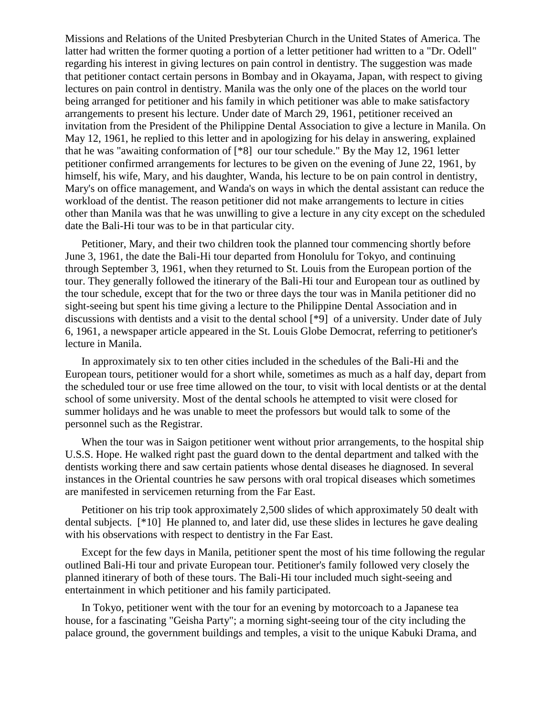Missions and Relations of the United Presbyterian Church in the United States of America. The latter had written the former quoting a portion of a letter petitioner had written to a "Dr. Odell" regarding his interest in giving lectures on pain control in dentistry. The suggestion was made that petitioner contact certain persons in Bombay and in Okayama, Japan, with respect to giving lectures on pain control in dentistry. Manila was the only one of the places on the world tour being arranged for petitioner and his family in which petitioner was able to make satisfactory arrangements to present his lecture. Under date of March 29, 1961, petitioner received an invitation from the President of the Philippine Dental Association to give a lecture in Manila. On May 12, 1961, he replied to this letter and in apologizing for his delay in answering, explained that he was "awaiting conformation of [\*8] our tour schedule." By the May 12, 1961 letter petitioner confirmed arrangements for lectures to be given on the evening of June 22, 1961, by himself, his wife, Mary, and his daughter, Wanda, his lecture to be on pain control in dentistry, Mary's on office management, and Wanda's on ways in which the dental assistant can reduce the workload of the dentist. The reason petitioner did not make arrangements to lecture in cities other than Manila was that he was unwilling to give a lecture in any city except on the scheduled date the Bali-Hi tour was to be in that particular city.

Petitioner, Mary, and their two children took the planned tour commencing shortly before June 3, 1961, the date the Bali-Hi tour departed from Honolulu for Tokyo, and continuing through September 3, 1961, when they returned to St. Louis from the European portion of the tour. They generally followed the itinerary of the Bali-Hi tour and European tour as outlined by the tour schedule, except that for the two or three days the tour was in Manila petitioner did no sight-seeing but spent his time giving a lecture to the Philippine Dental Association and in discussions with dentists and a visit to the dental school [\*9] of a university. Under date of July 6, 1961, a newspaper article appeared in the St. Louis Globe Democrat, referring to petitioner's lecture in Manila.

In approximately six to ten other cities included in the schedules of the Bali-Hi and the European tours, petitioner would for a short while, sometimes as much as a half day, depart from the scheduled tour or use free time allowed on the tour, to visit with local dentists or at the dental school of some university. Most of the dental schools he attempted to visit were closed for summer holidays and he was unable to meet the professors but would talk to some of the personnel such as the Registrar.

When the tour was in Saigon petitioner went without prior arrangements, to the hospital ship U.S.S. Hope. He walked right past the guard down to the dental department and talked with the dentists working there and saw certain patients whose dental diseases he diagnosed. In several instances in the Oriental countries he saw persons with oral tropical diseases which sometimes are manifested in servicemen returning from the Far East.

Petitioner on his trip took approximately 2,500 slides of which approximately 50 dealt with dental subjects. [\*10] He planned to, and later did, use these slides in lectures he gave dealing with his observations with respect to dentistry in the Far East.

Except for the few days in Manila, petitioner spent the most of his time following the regular outlined Bali-Hi tour and private European tour. Petitioner's family followed very closely the planned itinerary of both of these tours. The Bali-Hi tour included much sight-seeing and entertainment in which petitioner and his family participated.

In Tokyo, petitioner went with the tour for an evening by motorcoach to a Japanese tea house, for a fascinating "Geisha Party"; a morning sight-seeing tour of the city including the palace ground, the government buildings and temples, a visit to the unique Kabuki Drama, and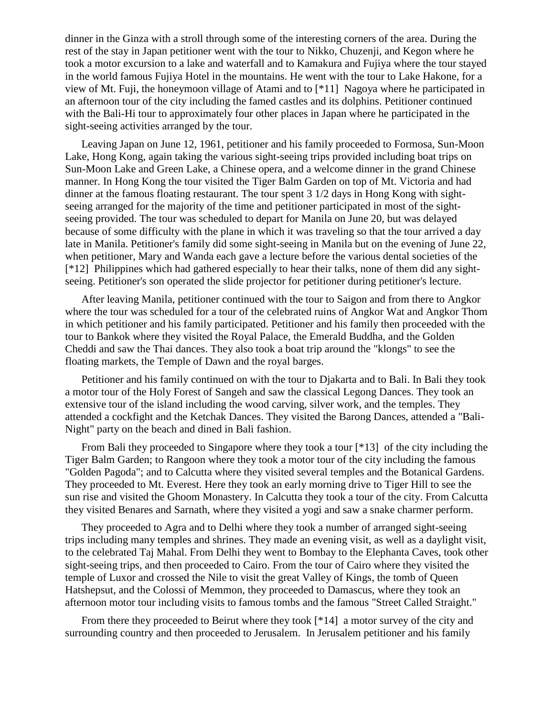dinner in the Ginza with a stroll through some of the interesting corners of the area. During the rest of the stay in Japan petitioner went with the tour to Nikko, Chuzenji, and Kegon where he took a motor excursion to a lake and waterfall and to Kamakura and Fujiya where the tour stayed in the world famous Fujiya Hotel in the mountains. He went with the tour to Lake Hakone, for a view of Mt. Fuji, the honeymoon village of Atami and to [\*11] Nagoya where he participated in an afternoon tour of the city including the famed castles and its dolphins. Petitioner continued with the Bali-Hi tour to approximately four other places in Japan where he participated in the sight-seeing activities arranged by the tour.

Leaving Japan on June 12, 1961, petitioner and his family proceeded to Formosa, Sun-Moon Lake, Hong Kong, again taking the various sight-seeing trips provided including boat trips on Sun-Moon Lake and Green Lake, a Chinese opera, and a welcome dinner in the grand Chinese manner. In Hong Kong the tour visited the Tiger Balm Garden on top of Mt. Victoria and had dinner at the famous floating restaurant. The tour spent 3 1/2 days in Hong Kong with sightseeing arranged for the majority of the time and petitioner participated in most of the sightseeing provided. The tour was scheduled to depart for Manila on June 20, but was delayed because of some difficulty with the plane in which it was traveling so that the tour arrived a day late in Manila. Petitioner's family did some sight-seeing in Manila but on the evening of June 22, when petitioner, Mary and Wanda each gave a lecture before the various dental societies of the [\*12] Philippines which had gathered especially to hear their talks, none of them did any sightseeing. Petitioner's son operated the slide projector for petitioner during petitioner's lecture.

After leaving Manila, petitioner continued with the tour to Saigon and from there to Angkor where the tour was scheduled for a tour of the celebrated ruins of Angkor Wat and Angkor Thom in which petitioner and his family participated. Petitioner and his family then proceeded with the tour to Bankok where they visited the Royal Palace, the Emerald Buddha, and the Golden Cheddi and saw the Thai dances. They also took a boat trip around the "klongs" to see the floating markets, the Temple of Dawn and the royal barges.

Petitioner and his family continued on with the tour to Djakarta and to Bali. In Bali they took a motor tour of the Holy Forest of Sangeh and saw the classical Legong Dances. They took an extensive tour of the island including the wood carving, silver work, and the temples. They attended a cockfight and the Ketchak Dances. They visited the Barong Dances, attended a "Bali-Night" party on the beach and dined in Bali fashion.

From Bali they proceeded to Singapore where they took a tour [\*13] of the city including the Tiger Balm Garden; to Rangoon where they took a motor tour of the city including the famous "Golden Pagoda"; and to Calcutta where they visited several temples and the Botanical Gardens. They proceeded to Mt. Everest. Here they took an early morning drive to Tiger Hill to see the sun rise and visited the Ghoom Monastery. In Calcutta they took a tour of the city. From Calcutta they visited Benares and Sarnath, where they visited a yogi and saw a snake charmer perform.

They proceeded to Agra and to Delhi where they took a number of arranged sight-seeing trips including many temples and shrines. They made an evening visit, as well as a daylight visit, to the celebrated Taj Mahal. From Delhi they went to Bombay to the Elephanta Caves, took other sight-seeing trips, and then proceeded to Cairo. From the tour of Cairo where they visited the temple of Luxor and crossed the Nile to visit the great Valley of Kings, the tomb of Queen Hatshepsut, and the Colossi of Memmon, they proceeded to Damascus, where they took an afternoon motor tour including visits to famous tombs and the famous "Street Called Straight."

From there they proceeded to Beirut where they took [\*14] a motor survey of the city and surrounding country and then proceeded to Jerusalem. In Jerusalem petitioner and his family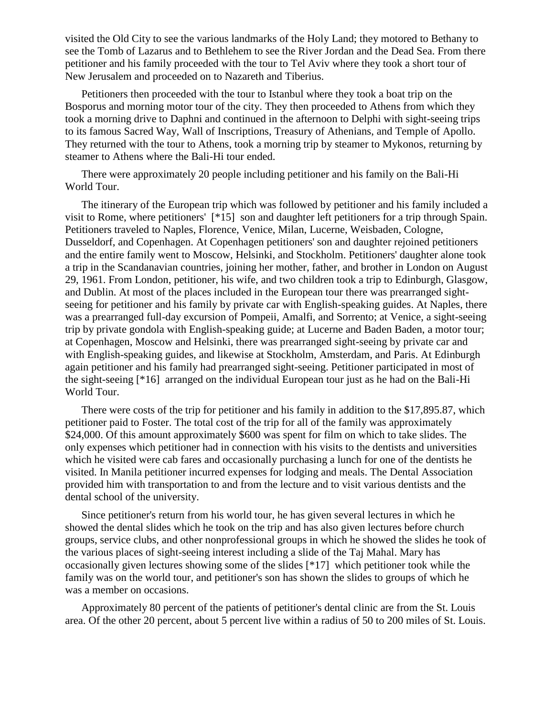visited the Old City to see the various landmarks of the Holy Land; they motored to Bethany to see the Tomb of Lazarus and to Bethlehem to see the River Jordan and the Dead Sea. From there petitioner and his family proceeded with the tour to Tel Aviv where they took a short tour of New Jerusalem and proceeded on to Nazareth and Tiberius.

Petitioners then proceeded with the tour to Istanbul where they took a boat trip on the Bosporus and morning motor tour of the city. They then proceeded to Athens from which they took a morning drive to Daphni and continued in the afternoon to Delphi with sight-seeing trips to its famous Sacred Way, Wall of Inscriptions, Treasury of Athenians, and Temple of Apollo. They returned with the tour to Athens, took a morning trip by steamer to Mykonos, returning by steamer to Athens where the Bali-Hi tour ended.

There were approximately 20 people including petitioner and his family on the Bali-Hi World Tour.

The itinerary of the European trip which was followed by petitioner and his family included a visit to Rome, where petitioners' [\*15] son and daughter left petitioners for a trip through Spain. Petitioners traveled to Naples, Florence, Venice, Milan, Lucerne, Weisbaden, Cologne, Dusseldorf, and Copenhagen. At Copenhagen petitioners' son and daughter rejoined petitioners and the entire family went to Moscow, Helsinki, and Stockholm. Petitioners' daughter alone took a trip in the Scandanavian countries, joining her mother, father, and brother in London on August 29, 1961. From London, petitioner, his wife, and two children took a trip to Edinburgh, Glasgow, and Dublin. At most of the places included in the European tour there was prearranged sightseeing for petitioner and his family by private car with English-speaking guides. At Naples, there was a prearranged full-day excursion of Pompeii, Amalfi, and Sorrento; at Venice, a sight-seeing trip by private gondola with English-speaking guide; at Lucerne and Baden Baden, a motor tour; at Copenhagen, Moscow and Helsinki, there was prearranged sight-seeing by private car and with English-speaking guides, and likewise at Stockholm, Amsterdam, and Paris. At Edinburgh again petitioner and his family had prearranged sight-seeing. Petitioner participated in most of the sight-seeing [\*16] arranged on the individual European tour just as he had on the Bali-Hi World Tour.

There were costs of the trip for petitioner and his family in addition to the \$17,895.87, which petitioner paid to Foster. The total cost of the trip for all of the family was approximately \$24,000. Of this amount approximately \$600 was spent for film on which to take slides. The only expenses which petitioner had in connection with his visits to the dentists and universities which he visited were cab fares and occasionally purchasing a lunch for one of the dentists he visited. In Manila petitioner incurred expenses for lodging and meals. The Dental Association provided him with transportation to and from the lecture and to visit various dentists and the dental school of the university.

Since petitioner's return from his world tour, he has given several lectures in which he showed the dental slides which he took on the trip and has also given lectures before church groups, service clubs, and other nonprofessional groups in which he showed the slides he took of the various places of sight-seeing interest including a slide of the Taj Mahal. Mary has occasionally given lectures showing some of the slides [\*17] which petitioner took while the family was on the world tour, and petitioner's son has shown the slides to groups of which he was a member on occasions.

Approximately 80 percent of the patients of petitioner's dental clinic are from the St. Louis area. Of the other 20 percent, about 5 percent live within a radius of 50 to 200 miles of St. Louis.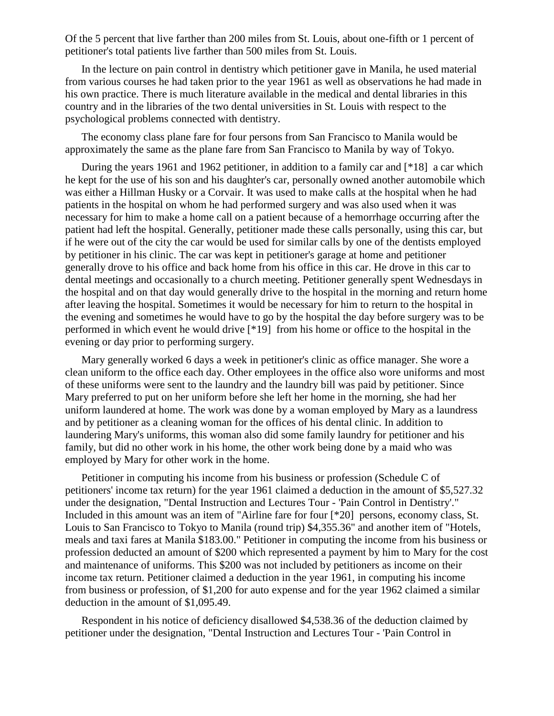Of the 5 percent that live farther than 200 miles from St. Louis, about one-fifth or 1 percent of petitioner's total patients live farther than 500 miles from St. Louis.

In the lecture on pain control in dentistry which petitioner gave in Manila, he used material from various courses he had taken prior to the year 1961 as well as observations he had made in his own practice. There is much literature available in the medical and dental libraries in this country and in the libraries of the two dental universities in St. Louis with respect to the psychological problems connected with dentistry.

The economy class plane fare for four persons from San Francisco to Manila would be approximately the same as the plane fare from San Francisco to Manila by way of Tokyo.

During the years 1961 and 1962 petitioner, in addition to a family car and [\*18] a car which he kept for the use of his son and his daughter's car, personally owned another automobile which was either a Hillman Husky or a Corvair. It was used to make calls at the hospital when he had patients in the hospital on whom he had performed surgery and was also used when it was necessary for him to make a home call on a patient because of a hemorrhage occurring after the patient had left the hospital. Generally, petitioner made these calls personally, using this car, but if he were out of the city the car would be used for similar calls by one of the dentists employed by petitioner in his clinic. The car was kept in petitioner's garage at home and petitioner generally drove to his office and back home from his office in this car. He drove in this car to dental meetings and occasionally to a church meeting. Petitioner generally spent Wednesdays in the hospital and on that day would generally drive to the hospital in the morning and return home after leaving the hospital. Sometimes it would be necessary for him to return to the hospital in the evening and sometimes he would have to go by the hospital the day before surgery was to be performed in which event he would drive [\*19] from his home or office to the hospital in the evening or day prior to performing surgery.

Mary generally worked 6 days a week in petitioner's clinic as office manager. She wore a clean uniform to the office each day. Other employees in the office also wore uniforms and most of these uniforms were sent to the laundry and the laundry bill was paid by petitioner. Since Mary preferred to put on her uniform before she left her home in the morning, she had her uniform laundered at home. The work was done by a woman employed by Mary as a laundress and by petitioner as a cleaning woman for the offices of his dental clinic. In addition to laundering Mary's uniforms, this woman also did some family laundry for petitioner and his family, but did no other work in his home, the other work being done by a maid who was employed by Mary for other work in the home.

Petitioner in computing his income from his business or profession (Schedule C of petitioners' income tax return) for the year 1961 claimed a deduction in the amount of \$5,527.32 under the designation, "Dental Instruction and Lectures Tour - 'Pain Control in Dentistry'." Included in this amount was an item of "Airline fare for four [\*20] persons, economy class, St. Louis to San Francisco to Tokyo to Manila (round trip) \$4,355.36" and another item of "Hotels, meals and taxi fares at Manila \$183.00." Petitioner in computing the income from his business or profession deducted an amount of \$200 which represented a payment by him to Mary for the cost and maintenance of uniforms. This \$200 was not included by petitioners as income on their income tax return. Petitioner claimed a deduction in the year 1961, in computing his income from business or profession, of \$1,200 for auto expense and for the year 1962 claimed a similar deduction in the amount of \$1,095.49.

Respondent in his notice of deficiency disallowed \$4,538.36 of the deduction claimed by petitioner under the designation, "Dental Instruction and Lectures Tour - 'Pain Control in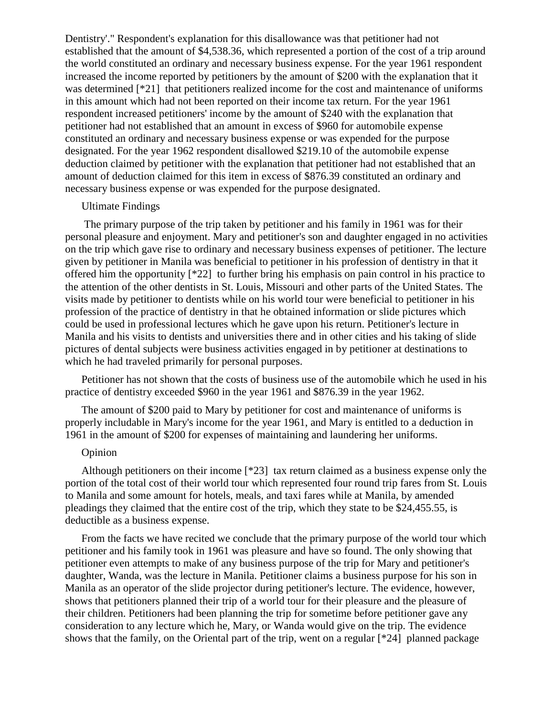Dentistry'." Respondent's explanation for this disallowance was that petitioner had not established that the amount of \$4,538.36, which represented a portion of the cost of a trip around the world constituted an ordinary and necessary business expense. For the year 1961 respondent increased the income reported by petitioners by the amount of \$200 with the explanation that it was determined [\*21] that petitioners realized income for the cost and maintenance of uniforms in this amount which had not been reported on their income tax return. For the year 1961 respondent increased petitioners' income by the amount of \$240 with the explanation that petitioner had not established that an amount in excess of \$960 for automobile expense constituted an ordinary and necessary business expense or was expended for the purpose designated. For the year 1962 respondent disallowed \$219.10 of the automobile expense deduction claimed by petitioner with the explanation that petitioner had not established that an amount of deduction claimed for this item in excess of \$876.39 constituted an ordinary and necessary business expense or was expended for the purpose designated.

#### Ultimate Findings

The primary purpose of the trip taken by petitioner and his family in 1961 was for their personal pleasure and enjoyment. Mary and petitioner's son and daughter engaged in no activities on the trip which gave rise to ordinary and necessary business expenses of petitioner. The lecture given by petitioner in Manila was beneficial to petitioner in his profession of dentistry in that it offered him the opportunity [\*22] to further bring his emphasis on pain control in his practice to the attention of the other dentists in St. Louis, Missouri and other parts of the United States. The visits made by petitioner to dentists while on his world tour were beneficial to petitioner in his profession of the practice of dentistry in that he obtained information or slide pictures which could be used in professional lectures which he gave upon his return. Petitioner's lecture in Manila and his visits to dentists and universities there and in other cities and his taking of slide pictures of dental subjects were business activities engaged in by petitioner at destinations to which he had traveled primarily for personal purposes.

Petitioner has not shown that the costs of business use of the automobile which he used in his practice of dentistry exceeded \$960 in the year 1961 and \$876.39 in the year 1962.

The amount of \$200 paid to Mary by petitioner for cost and maintenance of uniforms is properly includable in Mary's income for the year 1961, and Mary is entitled to a deduction in 1961 in the amount of \$200 for expenses of maintaining and laundering her uniforms.

### Opinion

Although petitioners on their income [\*23] tax return claimed as a business expense only the portion of the total cost of their world tour which represented four round trip fares from St. Louis to Manila and some amount for hotels, meals, and taxi fares while at Manila, by amended pleadings they claimed that the entire cost of the trip, which they state to be \$24,455.55, is deductible as a business expense.

From the facts we have recited we conclude that the primary purpose of the world tour which petitioner and his family took in 1961 was pleasure and have so found. The only showing that petitioner even attempts to make of any business purpose of the trip for Mary and petitioner's daughter, Wanda, was the lecture in Manila. Petitioner claims a business purpose for his son in Manila as an operator of the slide projector during petitioner's lecture. The evidence, however, shows that petitioners planned their trip of a world tour for their pleasure and the pleasure of their children. Petitioners had been planning the trip for sometime before petitioner gave any consideration to any lecture which he, Mary, or Wanda would give on the trip. The evidence shows that the family, on the Oriental part of the trip, went on a regular [\*24] planned package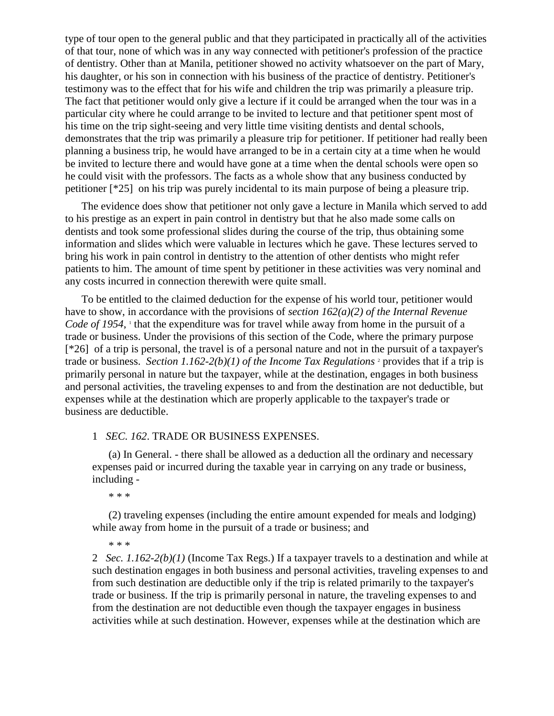type of tour open to the general public and that they participated in practically all of the activities of that tour, none of which was in any way connected with petitioner's profession of the practice of dentistry. Other than at Manila, petitioner showed no activity whatsoever on the part of Mary, his daughter, or his son in connection with his business of the practice of dentistry. Petitioner's testimony was to the effect that for his wife and children the trip was primarily a pleasure trip. The fact that petitioner would only give a lecture if it could be arranged when the tour was in a particular city where he could arrange to be invited to lecture and that petitioner spent most of his time on the trip sight-seeing and very little time visiting dentists and dental schools, demonstrates that the trip was primarily a pleasure trip for petitioner. If petitioner had really been planning a business trip, he would have arranged to be in a certain city at a time when he would be invited to lecture there and would have gone at a time when the dental schools were open so he could visit with the professors. The facts as a whole show that any business conducted by petitioner [\*25] on his trip was purely incidental to its main purpose of being a pleasure trip.

The evidence does show that petitioner not only gave a lecture in Manila which served to add to his prestige as an expert in pain control in dentistry but that he also made some calls on dentists and took some professional slides during the course of the trip, thus obtaining some information and slides which were valuable in lectures which he gave. These lectures served to bring his work in pain control in dentistry to the attention of other dentists who might refer patients to him. The amount of time spent by petitioner in these activities was very nominal and any costs incurred in connection therewith were quite small.

To be entitled to the claimed deduction for the expense of his world tour, petitioner would have to show, in accordance with the provisions of *section 162(a)(2) of the Internal Revenue*  Code of 1954, <sup>1</sup> that the expenditure was for travel while away from home in the pursuit of a trade or business. Under the provisions of this section of the Code, where the primary purpose [\*26] of a trip is personal, the travel is of a personal nature and not in the pursuit of a taxpayer's trade or business. *Section 1.162-2(b)(1) of the Income Tax Regulations* <sup>2</sup> provides that if a trip is primarily personal in nature but the taxpayer, while at the destination, engages in both business and personal activities, the traveling expenses to and from the destination are not deductible, but expenses while at the destination which are properly applicable to the taxpayer's trade or business are deductible.

## 1 *SEC. 162*. TRADE OR BUSINESS EXPENSES.

(a) In General. - there shall be allowed as a deduction all the ordinary and necessary expenses paid or incurred during the taxable year in carrying on any trade or business, including -

\* \* \*

(2) traveling expenses (including the entire amount expended for meals and lodging) while away from home in the pursuit of a trade or business; and

\* \* \*

2 *Sec. 1.162-2(b)(1)* (Income Tax Regs.) If a taxpayer travels to a destination and while at such destination engages in both business and personal activities, traveling expenses to and from such destination are deductible only if the trip is related primarily to the taxpayer's trade or business. If the trip is primarily personal in nature, the traveling expenses to and from the destination are not deductible even though the taxpayer engages in business activities while at such destination. However, expenses while at the destination which are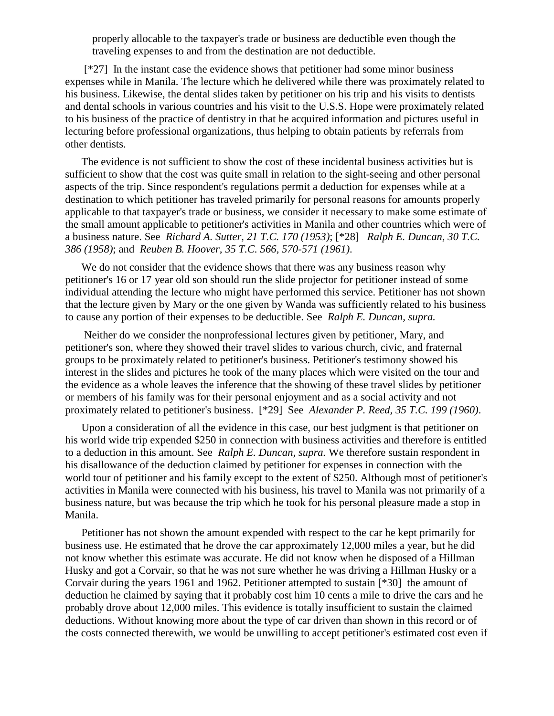properly allocable to the taxpayer's trade or business are deductible even though the traveling expenses to and from the destination are not deductible.

[\*27] In the instant case the evidence shows that petitioner had some minor business expenses while in Manila. The lecture which he delivered while there was proximately related to his business. Likewise, the dental slides taken by petitioner on his trip and his visits to dentists and dental schools in various countries and his visit to the U.S.S. Hope were proximately related to his business of the practice of dentistry in that he acquired information and pictures useful in lecturing before professional organizations, thus helping to obtain patients by referrals from other dentists.

The evidence is not sufficient to show the cost of these incidental business activities but is sufficient to show that the cost was quite small in relation to the sight-seeing and other personal aspects of the trip. Since respondent's regulations permit a deduction for expenses while at a destination to which petitioner has traveled primarily for personal reasons for amounts properly applicable to that taxpayer's trade or business, we consider it necessary to make some estimate of the small amount applicable to petitioner's activities in Manila and other countries which were of a business nature. See *Richard A. Sutter, 21 T.C. 170 (1953)*; [\*28] *Ralph E. Duncan, 30 T.C. 386 (1958)*; and *Reuben B. Hoover, 35 T.C. 566, 570-571 (1961)*.

We do not consider that the evidence shows that there was any business reason why petitioner's 16 or 17 year old son should run the slide projector for petitioner instead of some individual attending the lecture who might have performed this service. Petitioner has not shown that the lecture given by Mary or the one given by Wanda was sufficiently related to his business to cause any portion of their expenses to be deductible. See *Ralph E. Duncan, supra.*

Neither do we consider the nonprofessional lectures given by petitioner, Mary, and petitioner's son, where they showed their travel slides to various church, civic, and fraternal groups to be proximately related to petitioner's business. Petitioner's testimony showed his interest in the slides and pictures he took of the many places which were visited on the tour and the evidence as a whole leaves the inference that the showing of these travel slides by petitioner or members of his family was for their personal enjoyment and as a social activity and not proximately related to petitioner's business. [\*29] See *Alexander P. Reed, 35 T.C. 199 (1960)*.

Upon a consideration of all the evidence in this case, our best judgment is that petitioner on his world wide trip expended \$250 in connection with business activities and therefore is entitled to a deduction in this amount. See *Ralph E. Duncan, supra.* We therefore sustain respondent in his disallowance of the deduction claimed by petitioner for expenses in connection with the world tour of petitioner and his family except to the extent of \$250. Although most of petitioner's activities in Manila were connected with his business, his travel to Manila was not primarily of a business nature, but was because the trip which he took for his personal pleasure made a stop in Manila.

Petitioner has not shown the amount expended with respect to the car he kept primarily for business use. He estimated that he drove the car approximately 12,000 miles a year, but he did not know whether this estimate was accurate. He did not know when he disposed of a Hillman Husky and got a Corvair, so that he was not sure whether he was driving a Hillman Husky or a Corvair during the years 1961 and 1962. Petitioner attempted to sustain [\*30] the amount of deduction he claimed by saying that it probably cost him 10 cents a mile to drive the cars and he probably drove about 12,000 miles. This evidence is totally insufficient to sustain the claimed deductions. Without knowing more about the type of car driven than shown in this record or of the costs connected therewith, we would be unwilling to accept petitioner's estimated cost even if